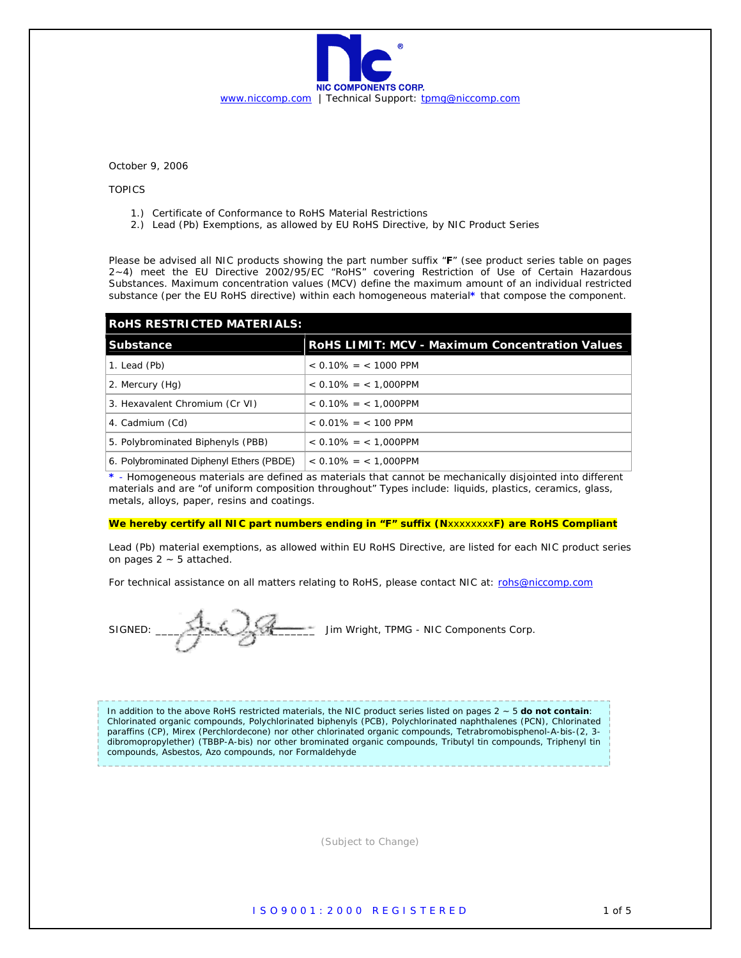

October 9, 2006

TOPICS

- 1.) Certificate of Conformance to RoHS Material Restrictions
- 2.) Lead (Pb) Exemptions, as allowed by EU RoHS Directive, by NIC Product Series

Please be advised all NIC products showing the part number suffix "**F**" (see product series table on pages 2~4) meet the EU Directive 2002/95/EC "RoHS" covering Restriction of Use of Certain Hazardous Substances. Maximum concentration values (MCV) define the maximum amount of an individual restricted substance (per the EU RoHS directive) within each homogeneous material**\*** that compose the component.

| <b>ROHS RESTRICTED MATERIALS:</b>        |                                                       |  |
|------------------------------------------|-------------------------------------------------------|--|
| <b>Substance</b>                         | <b>RoHS LIMIT: MCV - Maximum Concentration Values</b> |  |
| 1. Lead (Pb)                             | $< 0.10\% = < 1000$ PPM                               |  |
| 2. Mercury (Hg)                          | $< 0.10\% = < 1.000$ PPM                              |  |
| 3. Hexavalent Chromium (Cr VI)           | $< 0.10\% = < 1.000$ PPM                              |  |
| 4. Cadmium (Cd)                          | $< 0.01\% = < 100$ PPM                                |  |
| 5. Polybrominated Biphenyls (PBB)        | $< 0.10\% = < 1.000$ PPM                              |  |
| 6. Polybrominated Diphenyl Ethers (PBDE) | $< 0.10\% = < 1.000$ PPM                              |  |

**\*** - Homogeneous materials are defined as materials that cannot be mechanically disjointed into different materials and are "of uniform composition throughout" Types include: liquids, plastics, ceramics, glass, metals, alloys, paper, resins and coatings.

## **We hereby certify all NIC part numbers ending in "F" suffix (N**xxxxxxxx**F) are RoHS Compliant**

Lead (Pb) material exemptions, as allowed within EU RoHS Directive, are listed for each NIC product series on pages  $2 \sim 5$  attached.

For technical assistance on all matters relating to RoHS, please contact NIC at: rohs@niccomp.com

SIGNED: \_\_\_\_\_\_\_\_\_\_\_\_\_\_\_\_\_\_\_\_\_\_\_\_\_\_ Jim Wright, TPMG - NIC Components Corp.

In addition to the above RoHS restricted materials, the NIC product series listed on pages 2 ~ 5 **do not contain**: Chlorinated organic compounds, Polychlorinated biphenyls (PCB), Polychlorinated naphthalenes (PCN), Chlorinated paraffins (CP), Mirex (Perchlordecone) nor other chlorinated organic compounds, Tetrabromobisphenol-A-bis-(2, 3 dibromopropylether) (TBBP-A-bis) nor other brominated organic compounds, Tributyl tin compounds, Triphenyl tin compounds, Asbestos, Azo compounds, nor Formaldehyde

(Subject to Change)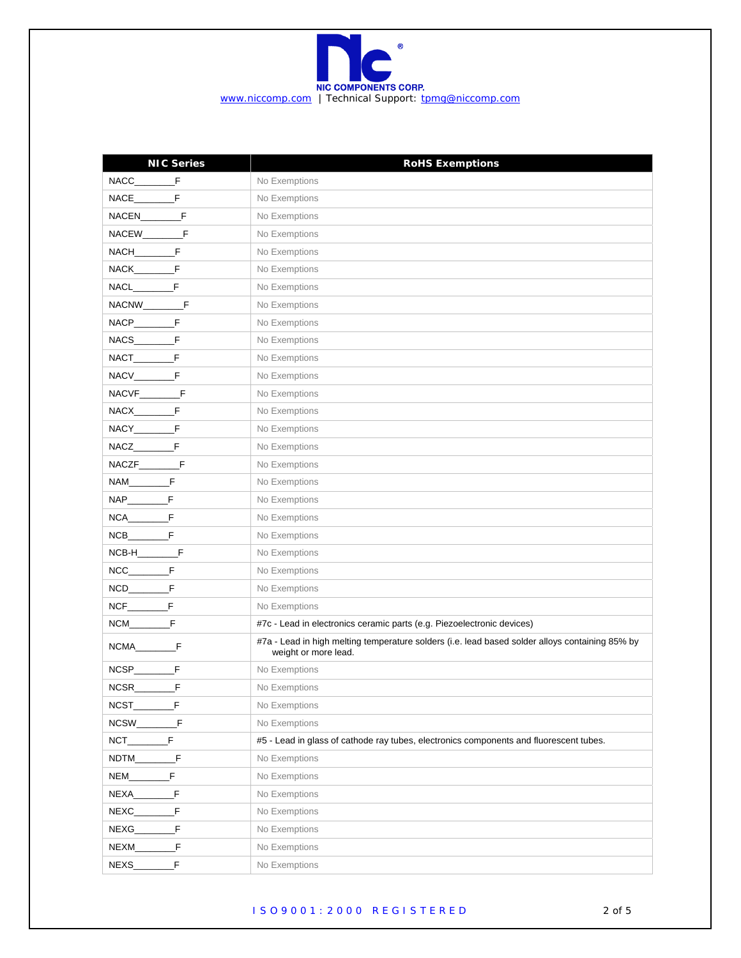

| <b>NIC Series</b>                        | <b>RoHS Exemptions</b>                                                                                                  |
|------------------------------------------|-------------------------------------------------------------------------------------------------------------------------|
|                                          | No Exemptions                                                                                                           |
| NACE F                                   | No Exemptions                                                                                                           |
|                                          | No Exemptions                                                                                                           |
|                                          | No Exemptions                                                                                                           |
| NACH__________F                          | No Exemptions                                                                                                           |
| NACK__________F                          | No Exemptions                                                                                                           |
| NACL F                                   | No Exemptions                                                                                                           |
| NACNW_________F                          | No Exemptions                                                                                                           |
| NACP F                                   | No Exemptions                                                                                                           |
|                                          | No Exemptions                                                                                                           |
| NACT F                                   | No Exemptions                                                                                                           |
| NACV__________F                          | No Exemptions                                                                                                           |
| NACVF__________F                         | No Exemptions                                                                                                           |
| NACX___________F                         | No Exemptions                                                                                                           |
| NACY___________F                         | No Exemptions                                                                                                           |
|                                          | No Exemptions                                                                                                           |
|                                          | No Exemptions                                                                                                           |
| NAM____________F                         | No Exemptions                                                                                                           |
|                                          | No Exemptions                                                                                                           |
| $NCA$ $F$                                | No Exemptions                                                                                                           |
|                                          | No Exemptions                                                                                                           |
| $NCB-H$ <sub>______________</sub> F      | No Exemptions                                                                                                           |
|                                          | No Exemptions                                                                                                           |
|                                          | No Exemptions                                                                                                           |
|                                          | No Exemptions                                                                                                           |
|                                          | #7c - Lead in electronics ceramic parts (e.g. Piezoelectronic devices)                                                  |
|                                          | #7a - Lead in high melting temperature solders (i.e. lead based solder alloys containing 85% by<br>weight or more lead. |
|                                          | No Exemptions                                                                                                           |
| $NCSR$ <sub>______</sub><br>$\mathsf{F}$ | No Exemptions                                                                                                           |
| NCST_<br>F                               | No Exemptions                                                                                                           |
| F<br>NCSW                                | No Exemptions                                                                                                           |
| F<br>NCT                                 | #5 - Lead in glass of cathode ray tubes, electronics components and fluorescent tubes.                                  |
| F<br>NDTM                                | No Exemptions                                                                                                           |
| F<br>NEM                                 | No Exemptions                                                                                                           |
| F<br>NEXA                                | No Exemptions                                                                                                           |
| F<br>NEXC                                | No Exemptions                                                                                                           |
| F<br>NEXG                                | No Exemptions                                                                                                           |
| F<br>NEXM                                | No Exemptions                                                                                                           |
| F<br>NEXS_                               | No Exemptions                                                                                                           |

## I S O 9 0 0 1 : 2 0 0 0 R E G I S T E R E D 2 of 5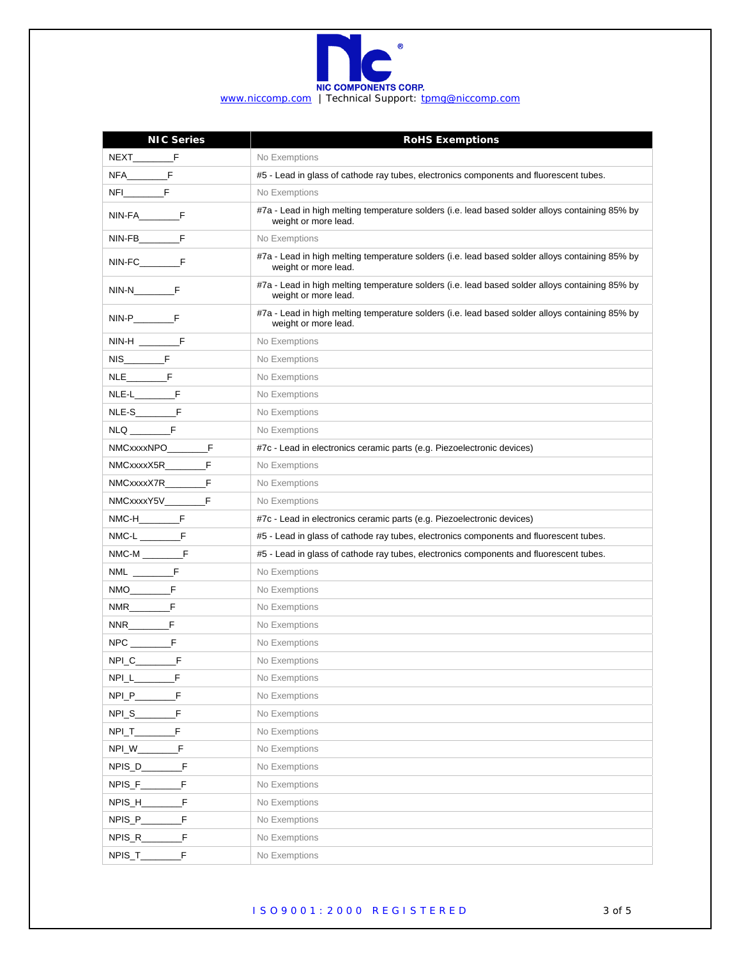

| <b>NIC Series</b>        | <b>RoHS Exemptions</b>                                                                                                  |
|--------------------------|-------------------------------------------------------------------------------------------------------------------------|
|                          | No Exemptions                                                                                                           |
| $NFA$ $F$                | #5 - Lead in glass of cathode ray tubes, electronics components and fluorescent tubes.                                  |
|                          | No Exemptions                                                                                                           |
|                          | #7a - Lead in high melting temperature solders (i.e. lead based solder alloys containing 85% by<br>weight or more lead. |
| NIN-FB_________F         | No Exemptions                                                                                                           |
| NIN-FC___________F       | #7a - Lead in high melting temperature solders (i.e. lead based solder alloys containing 85% by<br>weight or more lead. |
|                          | #7a - Lead in high melting temperature solders (i.e. lead based solder alloys containing 85% by<br>weight or more lead. |
|                          | #7a - Lead in high melting temperature solders (i.e. lead based solder alloys containing 85% by<br>weight or more lead. |
| $NIN-H$ $F$              | No Exemptions                                                                                                           |
|                          | No Exemptions                                                                                                           |
|                          | No Exemptions                                                                                                           |
|                          | No Exemptions                                                                                                           |
|                          | No Exemptions                                                                                                           |
|                          | No Exemptions                                                                                                           |
| NMCxxxxNPO F             | #7c - Lead in electronics ceramic parts (e.g. Piezoelectronic devices)                                                  |
|                          | No Exemptions                                                                                                           |
| NMCxxxxX7R___________F   | No Exemptions                                                                                                           |
|                          | No Exemptions                                                                                                           |
|                          | #7c - Lead in electronics ceramic parts (e.g. Piezoelectronic devices)                                                  |
|                          | #5 - Lead in glass of cathode ray tubes, electronics components and fluorescent tubes.                                  |
|                          | #5 - Lead in glass of cathode ray tubes, electronics components and fluorescent tubes.                                  |
| $NML$ <sub>_____</sub> F | No Exemptions                                                                                                           |
|                          | No Exemptions                                                                                                           |
|                          | No Exemptions                                                                                                           |
|                          | No Exemptions                                                                                                           |
|                          | No Exemptions                                                                                                           |
| NPI_C__________F         | No Exemptions                                                                                                           |
| NPI_L_<br>F              | No Exemptions                                                                                                           |
| NPI_P_<br>F              | No Exemptions                                                                                                           |
| NPI_S_<br>F              | No Exemptions                                                                                                           |
| F<br>$NPI_T$             | No Exemptions                                                                                                           |
| F<br>NPI_W_              | No Exemptions                                                                                                           |
| NPIS_D_<br>F             | No Exemptions                                                                                                           |
| NPIS_F_<br>F             | No Exemptions                                                                                                           |
| NPIS_H_<br>F             | No Exemptions                                                                                                           |
| F<br>NPIS_P_             | No Exemptions                                                                                                           |
| NPIS_R_<br>F             | No Exemptions                                                                                                           |
| NPIS_T_<br>F             | No Exemptions                                                                                                           |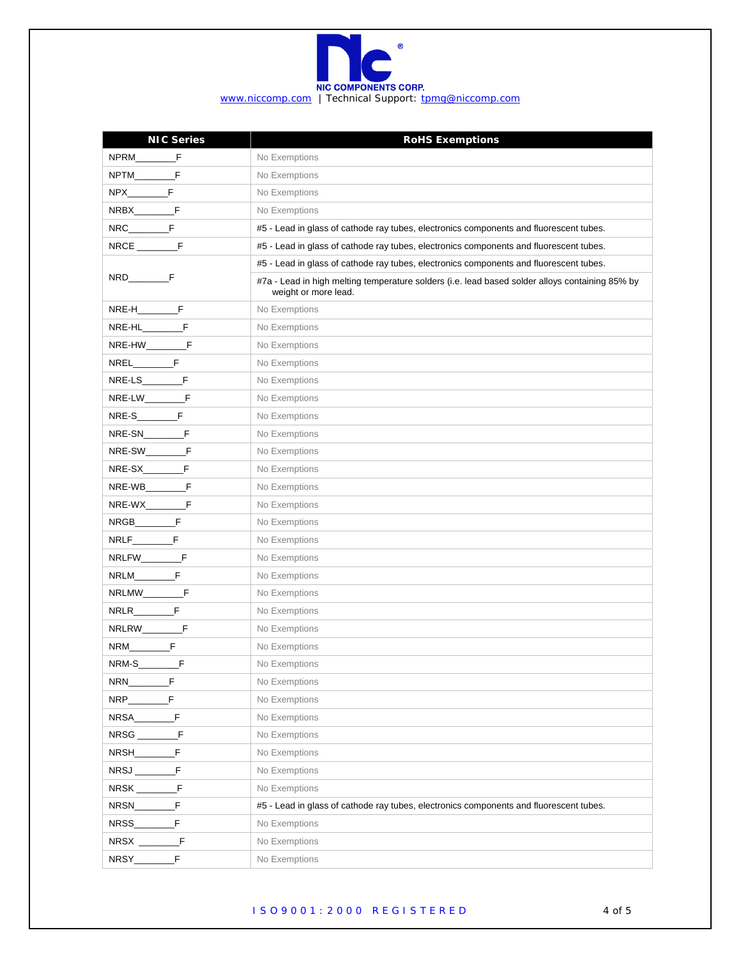

| <b>NIC Series</b>                     | <b>RoHS Exemptions</b>                                                                                                  |
|---------------------------------------|-------------------------------------------------------------------------------------------------------------------------|
|                                       | No Exemptions                                                                                                           |
| NPTM F                                | No Exemptions                                                                                                           |
|                                       | No Exemptions                                                                                                           |
| NRBX__________F                       | No Exemptions                                                                                                           |
|                                       | #5 - Lead in glass of cathode ray tubes, electronics components and fluorescent tubes.                                  |
|                                       | #5 - Lead in glass of cathode ray tubes, electronics components and fluorescent tubes.                                  |
|                                       | #5 - Lead in glass of cathode ray tubes, electronics components and fluorescent tubes.                                  |
|                                       | #7a - Lead in high melting temperature solders (i.e. lead based solder alloys containing 85% by<br>weight or more lead. |
| <b>NRE-H__________F</b>               | No Exemptions                                                                                                           |
|                                       | No Exemptions                                                                                                           |
| NRE-HW___________F                    | No Exemptions                                                                                                           |
| <b>NREL___________F</b>               | No Exemptions                                                                                                           |
|                                       | No Exemptions                                                                                                           |
|                                       | No Exemptions                                                                                                           |
|                                       | No Exemptions                                                                                                           |
| NRE-SN__________F                     | No Exemptions                                                                                                           |
| NRE-SW <sub>_________________</sub> F | No Exemptions                                                                                                           |
| NRE-SX_____________F                  | No Exemptions                                                                                                           |
|                                       | No Exemptions                                                                                                           |
| NRE-WX___________F                    | No Exemptions                                                                                                           |
|                                       | No Exemptions                                                                                                           |
|                                       | No Exemptions                                                                                                           |
| NRLFW___________F                     | No Exemptions                                                                                                           |
|                                       | No Exemptions                                                                                                           |
| NRLMW_________F                       | No Exemptions                                                                                                           |
|                                       | No Exemptions                                                                                                           |
| NRLRW__________F                      | No Exemptions                                                                                                           |
|                                       | No Exemptions                                                                                                           |
|                                       | No Exemptions                                                                                                           |
| NRN_<br>F                             | No Exemptions                                                                                                           |
| F<br>NRP                              | No Exemptions                                                                                                           |
| F<br>NRSA_                            | No Exemptions                                                                                                           |
| - F<br>NRSG _                         | No Exemptions                                                                                                           |
| F<br>NRSH_                            | No Exemptions                                                                                                           |
| NRSJ<br>F                             | No Exemptions                                                                                                           |
| F<br>$NRSK$ <sub>_____</sub>          | No Exemptions                                                                                                           |
| F<br>NRSN                             | #5 - Lead in glass of cathode ray tubes, electronics components and fluorescent tubes.                                  |
| F<br>NRSS_                            | No Exemptions                                                                                                           |
| F                                     | No Exemptions                                                                                                           |
| F<br>NRSY__                           | No Exemptions                                                                                                           |